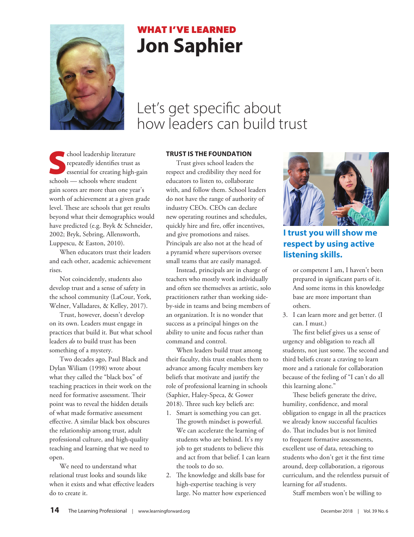

# **WHAT I'VE LEARNED Jon Saphier**

# Let's get specific about how leaders can build trust

School leadership literature<br>
repeatedly identifies trust as<br>
essential for creating high-gain repeatedly identifies trust as schools — schools where student gain scores are more than one year's worth of achievement at a given grade level. These are schools that get results beyond what their demographics would have predicted (e.g. Bryk & Schneider, 2002; Bryk, Sebring, Allensworth, Luppescu, & Easton, 2010).

When educators trust their leaders and each other, academic achievement rises.

Not coincidently, students also develop trust and a sense of safety in the school community (LaCour, York, Welner, Valladares, & Kelley, 2017).

Trust, however, doesn't develop on its own. Leaders must engage in practices that build it. But what school leaders *do* to build trust has been something of a mystery.

Two decades ago, Paul Black and Dylan Wiliam (1998) wrote about what they called the "black box" of teaching practices in their work on the need for formative assessment. Their point was to reveal the hidden details of what made formative assessment effective. A similar black box obscures the relationship among trust, adult professional culture, and high-quality teaching and learning that we need to open.

We need to understand what relational trust looks and sounds like when it exists and what effective leaders do to create it.

### **TRUST IS THE FOUNDATION**

Trust gives school leaders the respect and credibility they need for educators to listen to, collaborate with, and follow them. School leaders do not have the range of authority of industry CEOs. CEOs can declare new operating routines and schedules, quickly hire and fire, offer incentives, and give promotions and raises. Principals are also not at the head of a pyramid where supervisors oversee small teams that are easily managed.

Instead, principals are in charge of teachers who mostly work individually and often see themselves as artistic, solo practitioners rather than working sideby-side in teams and being members of an organization. It is no wonder that success as a principal hinges on the ability to unite and focus rather than command and control.

When leaders build trust among their faculty, this trust enables them to advance among faculty members key beliefs that motivate and justify the role of professional learning in schools (Saphier, Haley-Speca, & Gower 2018). Three such key beliefs are:

- 1. Smart is something you can get. The growth mindset is powerful. We can accelerate the learning of students who are behind. It's my job to get students to believe this and act from that belief. I can learn the tools to do so.
- 2. The knowledge and skills base for high-expertise teaching is very large. No matter how experienced



**I trust you will show me respect by using active listening skills.**

or competent I am, I haven't been prepared in significant parts of it. And some items in this knowledge base are more important than others.

3. I can learn more and get better. (I can. I must.)

The first belief gives us a sense of urgency and obligation to reach all students, not just some. The second and third beliefs create a craving to learn more and a rationale for collaboration because of the feeling of "I can't do all this learning alone."

These beliefs generate the drive, humility, confidence, and moral obligation to engage in all the practices we already know successful faculties do. That includes but is not limited to frequent formative assessments, excellent use of data, reteaching to students who don't get it the first time around, deep collaboration, a rigorous curriculum, and the relentless pursuit of learning for *all* students.

Staff members won't be willing to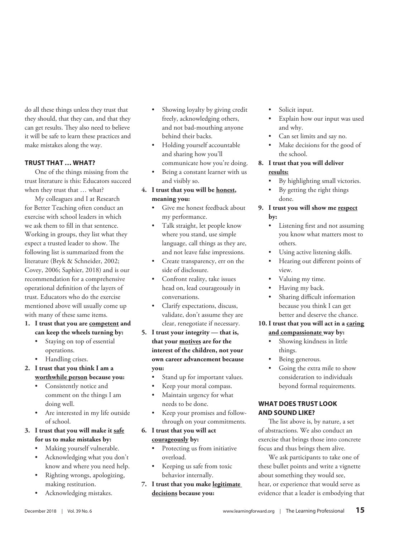do all these things unless they trust that they should, that they can, and that they can get results. They also need to believe it will be safe to learn these practices and make mistakes along the way.

### **TRUST THAT … WHAT?**

One of the things missing from the trust literature is this: Educators succeed when they trust that … what?

My colleagues and I at Research for Better Teaching often conduct an exercise with school leaders in which we ask them to fill in that sentence. Working in groups, they list what they expect a trusted leader to show. The following list is summarized from the literature (Bryk & Schneider, 2002; Covey, 2006; Saphier, 2018) and is our recommendation for a comprehensive operational definition of the layers of trust. Educators who do the exercise mentioned above will usually come up with many of these same items.

- **1. I trust that you are competent and can keep the wheels turning by:**
	- Staying on top of essential operations.
	- Handling crises.
- **2. I trust that you think I am a worthwhile person because you:**
	- Consistently notice and comment on the things I am doing well.
	- Are interested in my life outside of school.

## **3. I trust that you will make it safe for us to make mistakes by:**

- Making yourself vulnerable.
- Acknowledging what you don't know and where you need help.
- Righting wrongs, apologizing, making restitution.
- Acknowledging mistakes.
- Showing loyalty by giving credit freely, acknowledging others, and not bad-mouthing anyone behind their backs.
- Holding yourself accountable and sharing how you'll communicate how you're doing.
- Being a constant learner with us and visibly so.

# **4. I trust that you will be honest, meaning you:**

- Give me honest feedback about my performance.
- Talk straight, let people know where you stand, use simple language, call things as they are, and not leave false impressions.
- Create transparency, err on the side of disclosure.
- Confront reality, take issues head on, lead courageously in conversations.
- Clarify expectations, discuss, validate, don't assume they are clear, renegotiate if necessary.
- **5. I trust your integrity that is, that your motives are for the interest of the children, not your own career advancement because you:**
	- Stand up for important values.
	- Keep your moral compass.
	- Maintain urgency for what needs to be done.
	- Keep your promises and followthrough on your commitments.
- **6. I trust that you will act courageously by:**
	- Protecting us from initiative overload.
	- Keeping us safe from toxic behavior internally.

**7. I trust that you make legitimate decisions because you:**

- Solicit input.
- Explain how our input was used and why.
- Can set limits and say no.
- Make decisions for the good of the school.

## **8. I trust that you will deliver results:**

- By highlighting small victories.
- By getting the right things done.

## **9. I trust you will show me respect by:**

- Listening first and not assuming you know what matters most to others.
- Using active listening skills.
- Hearing out different points of view.
- Valuing my time.
- Having my back.
- Sharing difficult information because you think I can get better and deserve the chance.

## **10. I trust that you will act in a caring and compassionate way by:**

- Showing kindness in little things.
- Being generous.
- Going the extra mile to show consideration to individuals beyond formal requirements.

## **WHAT DOES TRUST LOOK AND SOUND LIKE?**

The list above is, by nature, a set of abstractions. We also conduct an exercise that brings those into concrete focus and thus brings them alive.

We ask participants to take one of these bullet points and write a vignette about something they would see, hear, or experience that would serve as evidence that a leader is embodying that